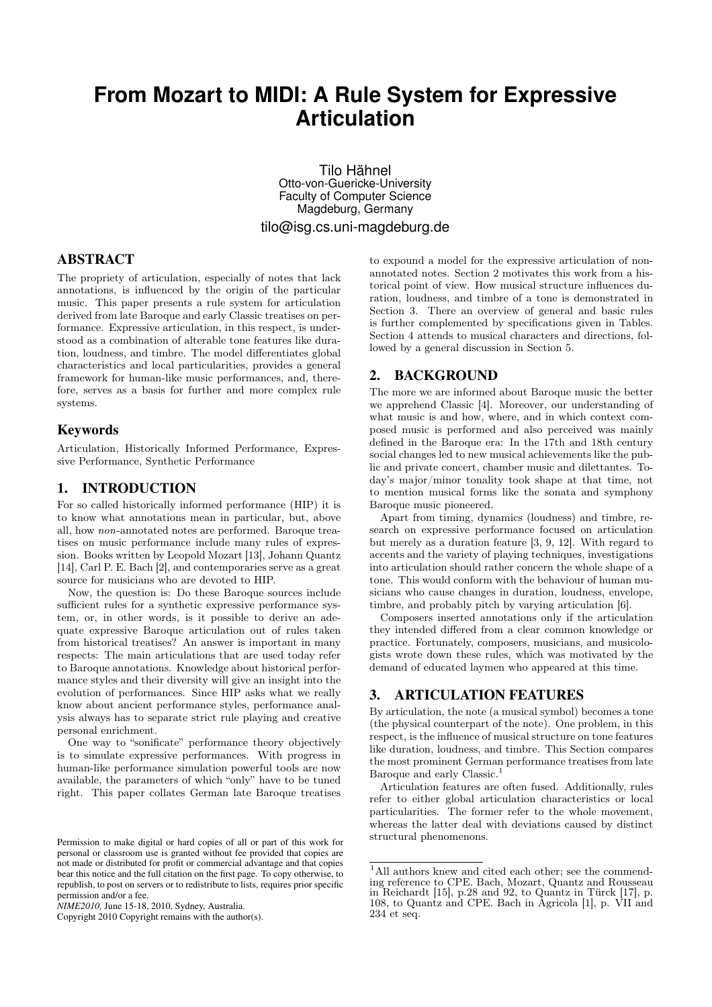# **From Mozart to MIDI: A Rule System for Expressive Articulation**

Tilo Hähnel Otto-von-Guericke-University Faculty of Computer Science Magdeburg, Germany

tilo@isg.cs.uni-magdeburg.de

# ABSTRACT

The propriety of articulation, especially of notes that lack annotations, is influenced by the origin of the particular music. This paper presents a rule system for articulation derived from late Baroque and early Classic treatises on performance. Expressive articulation, in this respect, is understood as a combination of alterable tone features like duration, loudness, and timbre. The model differentiates global characteristics and local particularities, provides a general framework for human-like music performances, and, therefore, serves as a basis for further and more complex rule systems.

# Keywords

Articulation, Historically Informed Performance, Expressive Performance, Synthetic Performance

## 1. INTRODUCTION

For so called historically informed performance (HIP) it is to know what annotations mean in particular, but, above all, how non-annotated notes are performed. Baroque treatises on music performance include many rules of expression. Books written by Leopold Mozart [13], Johann Quantz [14], Carl P. E. Bach [2], and contemporaries serve as a great source for musicians who are devoted to HIP.

Now, the question is: Do these Baroque sources include sufficient rules for a synthetic expressive performance system, or, in other words, is it possible to derive an adequate expressive Baroque articulation out of rules taken from historical treatises? An answer is important in many respects: The main articulations that are used today refer to Baroque annotations. Knowledge about historical performance styles and their diversity will give an insight into the evolution of performances. Since HIP asks what we really know about ancient performance styles, performance analysis always has to separate strict rule playing and creative personal enrichment.

One way to "sonificate" performance theory objectively is to simulate expressive performances. With progress in human-like performance simulation powerful tools are now available, the parameters of which "only" have to be tuned right. This paper collates German late Baroque treatises

Copyright 2010 Copyright remains with the author(s).

to expound a model for the expressive articulation of nonannotated notes. Section 2 motivates this work from a historical point of view. How musical structure influences duration, loudness, and timbre of a tone is demonstrated in Section 3. There an overview of general and basic rules is further complemented by specifications given in Tables. Section 4 attends to musical characters and directions, followed by a general discussion in Section 5.

# 2. BACKGROUND

The more we are informed about Baroque music the better we apprehend Classic [4]. Moreover, our understanding of what music is and how, where, and in which context composed music is performed and also perceived was mainly defined in the Baroque era: In the 17th and 18th century social changes led to new musical achievements like the public and private concert, chamber music and dilettantes. Today's major/minor tonality took shape at that time, not to mention musical forms like the sonata and symphony Baroque music pioneered.

Apart from timing, dynamics (loudness) and timbre, research on expressive performance focused on articulation but merely as a duration feature [3, 9, 12]. With regard to accents and the variety of playing techniques, investigations into articulation should rather concern the whole shape of a tone. This would conform with the behaviour of human musicians who cause changes in duration, loudness, envelope, timbre, and probably pitch by varying articulation [6].

Composers inserted annotations only if the articulation they intended differed from a clear common knowledge or practice. Fortunately, composers, musicians, and musicologists wrote down these rules, which was motivated by the demand of educated laymen who appeared at this time.

# 3. ARTICULATION FEATURES

By articulation, the note (a musical symbol) becomes a tone (the physical counterpart of the note). One problem, in this respect, is the influence of musical structure on tone features like duration, loudness, and timbre. This Section compares the most prominent German performance treatises from late Baroque and early Classic.<sup>1</sup>

Articulation features are often fused. Additionally, rules refer to either global articulation characteristics or local particularities. The former refer to the whole movement, whereas the latter deal with deviations caused by distinct structural phenomenons.

Permission to make digital or hard copies of all or part of this work for personal or classroom use is granted without fee provided that copies are not made or distributed for profit or commercial advantage and that copies bear this notice and the full citation on the first page. To copy otherwise, to republish, to post on servers or to redistribute to lists, requires prior specific permission and/or a fee.

*NIME2010,* June 15-18, 2010, Sydney, Australia.

 $1$ All authors knew and cited each other; see the commending reference to CPE. Bach, Mozart, Quantz and Rousseau in Reichardt [15], p.28 and 92, to Quantz in Türck [17], p. 108, to Quantz and CPE. Bach in Agricola [1], p. VII and 234 et seq.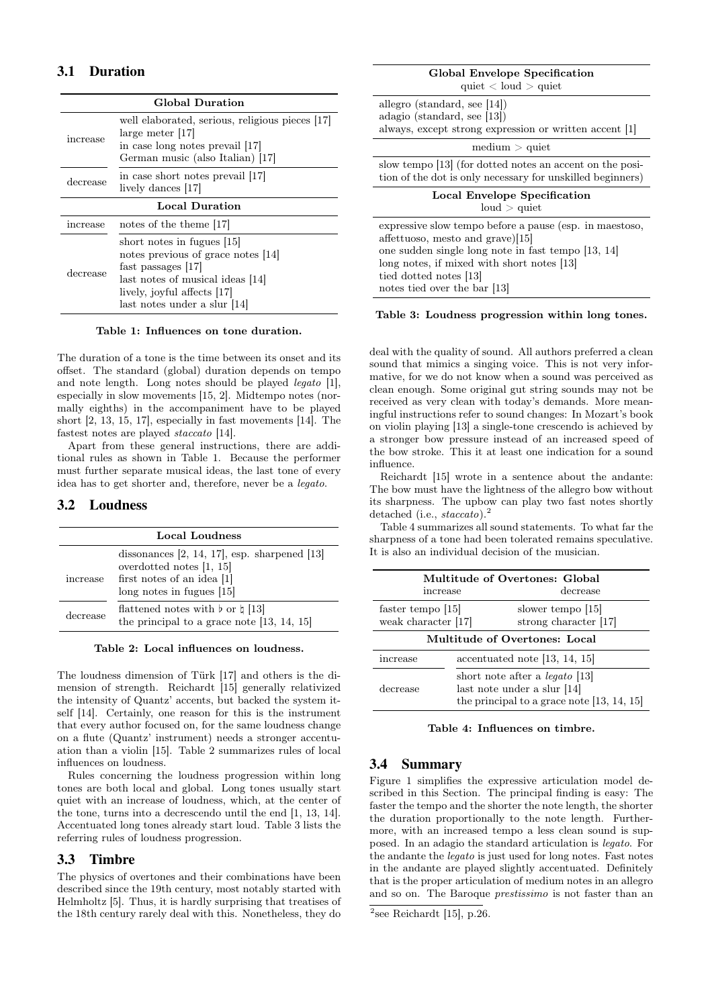# 3.1 Duration

| <b>Global Duration</b> |                                                                                                                                                                                           |  |  |  |
|------------------------|-------------------------------------------------------------------------------------------------------------------------------------------------------------------------------------------|--|--|--|
| increase               | well elaborated, serious, religious pieces [17]<br>large meter [17]<br>in case long notes prevail [17]<br>German music (also Italian) [17]                                                |  |  |  |
| decrease               | in case short notes prevail [17]<br>lively dances [17]                                                                                                                                    |  |  |  |
| <b>Local Duration</b>  |                                                                                                                                                                                           |  |  |  |
| increase               | notes of the theme [17]                                                                                                                                                                   |  |  |  |
| decrease               | short notes in fugues [15]<br>notes previous of grace notes [14]<br>fast passages [17]<br>last notes of musical ideas [14]<br>lively, joyful affects [17]<br>last notes under a slur [14] |  |  |  |

#### Table 1: Influences on tone duration.

The duration of a tone is the time between its onset and its offset. The standard (global) duration depends on tempo and note length. Long notes should be played legato [1], especially in slow movements [15, 2]. Midtempo notes (normally eighths) in the accompaniment have to be played short [2, 13, 15, 17], especially in fast movements [14]. The fastest notes are played staccato [14].

Apart from these general instructions, there are additional rules as shown in Table 1. Because the performer must further separate musical ideas, the last tone of every idea has to get shorter and, therefore, never be a legato.

# 3.2 Loudness

| Local Loudness |                                                                                                                                                |  |  |  |
|----------------|------------------------------------------------------------------------------------------------------------------------------------------------|--|--|--|
| increase       | dissonances $[2, 14, 17]$ , esp. sharpened $[13]$<br>overdotted notes $[1, 15]$<br>first notes of an idea $[1]$<br>$\log$ notes in fugues [15] |  |  |  |
| decrease       | flattened notes with $\flat$ or $\sharp$ [13]<br>the principal to a grace note $[13, 14, 15]$                                                  |  |  |  |

#### Table 2: Local influences on loudness.

The loudness dimension of Türk [17] and others is the dimension of strength. Reichardt [15] generally relativized the intensity of Quantz' accents, but backed the system itself [14]. Certainly, one reason for this is the instrument that every author focused on, for the same loudness change on a flute (Quantz' instrument) needs a stronger accentuation than a violin [15]. Table 2 summarizes rules of local influences on loudness.

Rules concerning the loudness progression within long tones are both local and global. Long tones usually start quiet with an increase of loudness, which, at the center of the tone, turns into a decrescendo until the end [1, 13, 14]. Accentuated long tones already start loud. Table 3 lists the referring rules of loudness progression.

## 3.3 Timbre

The physics of overtones and their combinations have been described since the 19th century, most notably started with Helmholtz [5]. Thus, it is hardly surprising that treatises of the 18th century rarely deal with this. Nonetheless, they do

| Global Envelope Specification<br>quiet $\langle$ loud $\rangle$ quiet                                                                                                                              |
|----------------------------------------------------------------------------------------------------------------------------------------------------------------------------------------------------|
| allegro (standard, see $ 14 $ )<br>adagio (standard, see [13])<br>always, except strong expression or written accent [1]                                                                           |
| $median >$ quiet                                                                                                                                                                                   |
| slow tempo [13] (for dotted notes an accent on the posi-<br>tion of the dot is only necessary for unskilled beginners)                                                                             |
| <b>Local Envelope Specification</b><br>loud > quite                                                                                                                                                |
| expressive slow tempo before a pause (esp. in masstoso,<br>affettuoso, mesto and grave) $[15]$<br>one sudden single long note in fast tempo [13, 14]<br>long notes, if mixed with short notes [13] |
| tied dotted notes [13]<br>notes tied over the bar [13]                                                                                                                                             |
|                                                                                                                                                                                                    |

#### Table 3: Loudness progression within long tones.

deal with the quality of sound. All authors preferred a clean sound that mimics a singing voice. This is not very informative, for we do not know when a sound was perceived as clean enough. Some original gut string sounds may not be received as very clean with today's demands. More meaningful instructions refer to sound changes: In Mozart's book on violin playing [13] a single-tone crescendo is achieved by a stronger bow pressure instead of an increased speed of the bow stroke. This it at least one indication for a sound influence.

Reichardt [15] wrote in a sentence about the andante: The bow must have the lightness of the allegro bow without its sharpness. The upbow can play two fast notes shortly detached (i.e., staccato).<sup>2</sup>

Table 4 summarizes all sound statements. To what far the sharpness of a tone had been tolerated remains speculative. It is also an individual decision of the musician.

| increase                                 |                                        | Multitude of Overtones: Global<br>decrease                                                                           |  |  |  |
|------------------------------------------|----------------------------------------|----------------------------------------------------------------------------------------------------------------------|--|--|--|
| faster tempo [15]<br>weak character [17] |                                        | slower tempo [15]<br>strong character [17]                                                                           |  |  |  |
| Multitude of Overtones: Local            |                                        |                                                                                                                      |  |  |  |
| increase                                 | $\alpha$ accentuated note [13, 14, 15] |                                                                                                                      |  |  |  |
| decrease                                 |                                        | short note after a <i>legato</i> [13]<br>last note under a slur [14]<br>the principal to a grace note $[13, 14, 15]$ |  |  |  |

Table 4: Influences on timbre.

## 3.4 Summary

Figure 1 simplifies the expressive articulation model described in this Section. The principal finding is easy: The faster the tempo and the shorter the note length, the shorter the duration proportionally to the note length. Furthermore, with an increased tempo a less clean sound is supposed. In an adagio the standard articulation is legato. For the andante the legato is just used for long notes. Fast notes in the andante are played slightly accentuated. Definitely that is the proper articulation of medium notes in an allegro and so on. The Baroque prestissimo is not faster than an

 $2$ see Reichardt [15], p.26.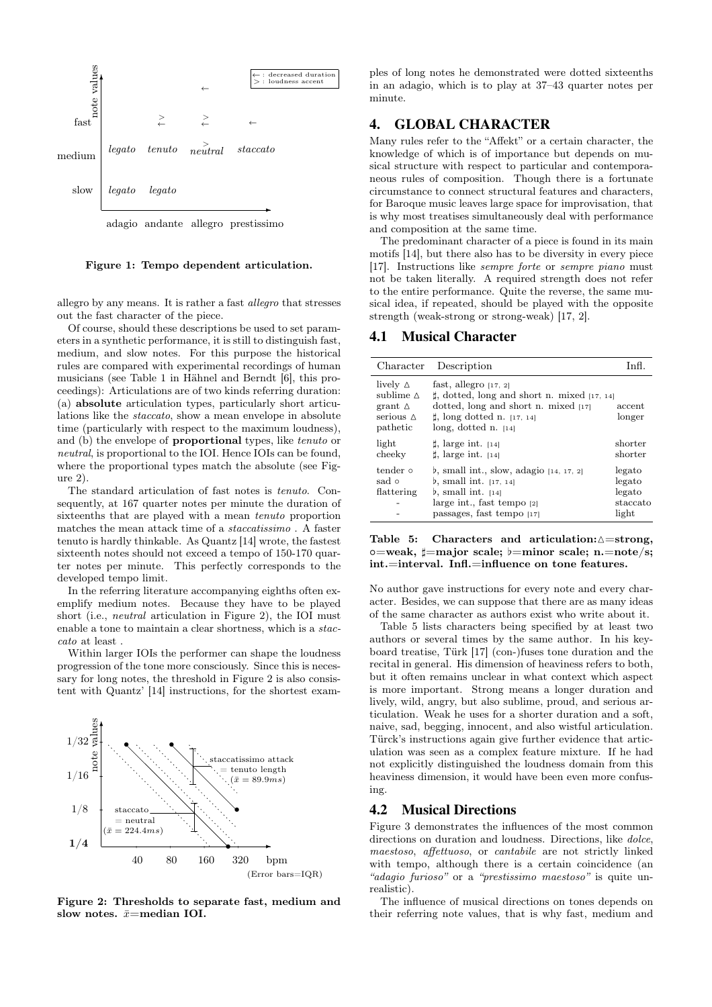

#### Figure 1: Tempo dependent articulation.

allegro by any means. It is rather a fast allegro that stresses out the fast character of the piece.

Of course, should these descriptions be used to set parameters in a synthetic performance, it is still to distinguish fast, medium, and slow notes. For this purpose the historical rules are compared with experimental recordings of human musicians (see Table 1 in Hähnel and Berndt [6], this proceedings): Articulations are of two kinds referring duration: (a) absolute articulation types, particularly short articulations like the staccato, show a mean envelope in absolute time (particularly with respect to the maximum loudness), and (b) the envelope of proportional types, like tenuto or neutral, is proportional to the IOI. Hence IOIs can be found, where the proportional types match the absolute (see Figure 2).

The standard articulation of fast notes is tenuto. Consequently, at 167 quarter notes per minute the duration of sixteenths that are played with a mean tenuto proportion matches the mean attack time of a staccatissimo . A faster tenuto is hardly thinkable. As Quantz [14] wrote, the fastest sixteenth notes should not exceed a tempo of 150-170 quarter notes per minute. This perfectly corresponds to the developed tempo limit.

In the referring literature accompanying eighths often exemplify medium notes. Because they have to be played short (i.e., neutral articulation in Figure 2), the IOI must enable a tone to maintain a clear shortness, which is a staccato at least .

Within larger IOIs the performer can shape the loudness progression of the tone more consciously. Since this is necessary for long notes, the threshold in Figure 2 is also consistent with Quantz' [14] instructions, for the shortest exam-



Figure 2: Thresholds to separate fast, medium and slow notes.  $\bar{x}$ =median IOI.

ples of long notes he demonstrated were dotted sixteenths in an adagio, which is to play at 37–43 quarter notes per minute.

# 4. GLOBAL CHARACTER

Many rules refer to the "Affekt" or a certain character, the knowledge of which is of importance but depends on musical structure with respect to particular and contemporaneous rules of composition. Though there is a fortunate circumstance to connect structural features and characters, for Baroque music leaves large space for improvisation, that is why most treatises simultaneously deal with performance and composition at the same time.

The predominant character of a piece is found in its main motifs [14], but there also has to be diversity in every piece [17]. Instructions like sempre forte or sempre piano must not be taken literally. A required strength does not refer to the entire performance. Quite the reverse, the same musical idea, if repeated, should be played with the opposite strength (weak-strong or strong-weak) [17, 2].

#### 4.1 Musical Character

| Character                                                                             | Description                                                                                                                                                                            | Inf                                             |
|---------------------------------------------------------------------------------------|----------------------------------------------------------------------------------------------------------------------------------------------------------------------------------------|-------------------------------------------------|
| lively $\Delta$<br>sublime $\Delta$<br>grant $\Delta$<br>serious $\Delta$<br>pathetic | fast, allegro $[17, 2]$<br>$\sharp$ , dotted, long and short n. mixed [17, 14]<br>dotted, long and short n. mixed $[17]$<br>$\sharp$ , long dotted n. [17, 14]<br>long, dotted n. [14] | accent<br>longer                                |
| light<br>cheeky                                                                       | $\sharp$ , large int. [14]<br>$\sharp$ , large int. [14]                                                                                                                               | shorter<br>shorter                              |
| tender 0<br>sad o<br>flattering                                                       | b, small int., slow, adagio $[14, 17, 2]$<br>b, small int. $[17, 14]$<br>$\mathfrak b$ , small int. [14]<br>large int., fast tempo [2]<br>passages, fast tempo [17]                    | legato<br>legato<br>legato<br>staccato<br>light |

Table 5: Characters and articulation: $\triangle =$ strong,  $o=weak, \sharp=major scale; \flat=minor scale; n=note/s;$ int.=interval. Infl.=influence on tone features.

No author gave instructions for every note and every character. Besides, we can suppose that there are as many ideas of the same character as authors exist who write about it.

Table 5 lists characters being specified by at least two authors or several times by the same author. In his keyboard treatise, Türk [17] (con-)fuses tone duration and the recital in general. His dimension of heaviness refers to both, but it often remains unclear in what context which aspect is more important. Strong means a longer duration and lively, wild, angry, but also sublime, proud, and serious articulation. Weak he uses for a shorter duration and a soft, naive, sad, begging, innocent, and also wistful articulation. Türck's instructions again give further evidence that articulation was seen as a complex feature mixture. If he had not explicitly distinguished the loudness domain from this heaviness dimension, it would have been even more confusing.

#### 4.2 Musical Directions

Figure 3 demonstrates the influences of the most common directions on duration and loudness. Directions, like *dolce*, maestoso, affettuoso, or cantabile are not strictly linked with tempo, although there is a certain coincidence (an "adagio furioso" or a "prestissimo maestoso" is quite unrealistic).

The influence of musical directions on tones depends on their referring note values, that is why fast, medium and